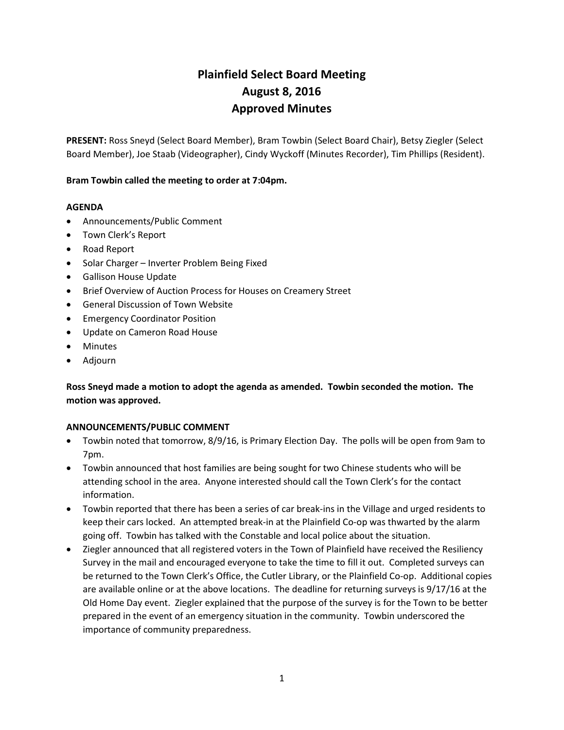# Plainfield Select Board Meeting August 8, 2016 Approved Minutes

PRESENT: Ross Sneyd (Select Board Member), Bram Towbin (Select Board Chair), Betsy Ziegler (Select Board Member), Joe Staab (Videographer), Cindy Wyckoff (Minutes Recorder), Tim Phillips (Resident).

## Bram Towbin called the meeting to order at 7:04pm.

## AGENDA

- Announcements/Public Comment
- Town Clerk's Report
- Road Report
- Solar Charger Inverter Problem Being Fixed
- Gallison House Update
- Brief Overview of Auction Process for Houses on Creamery Street
- General Discussion of Town Website
- **•** Emergency Coordinator Position
- Update on Cameron Road House
- Minutes
- Adjourn

## Ross Sneyd made a motion to adopt the agenda as amended. Towbin seconded the motion. The motion was approved.

## ANNOUNCEMENTS/PUBLIC COMMENT

- Towbin noted that tomorrow, 8/9/16, is Primary Election Day. The polls will be open from 9am to 7pm.
- Towbin announced that host families are being sought for two Chinese students who will be attending school in the area. Anyone interested should call the Town Clerk's for the contact information.
- Towbin reported that there has been a series of car break-ins in the Village and urged residents to keep their cars locked. An attempted break-in at the Plainfield Co-op was thwarted by the alarm going off. Towbin has talked with the Constable and local police about the situation.
- Ziegler announced that all registered voters in the Town of Plainfield have received the Resiliency Survey in the mail and encouraged everyone to take the time to fill it out. Completed surveys can be returned to the Town Clerk's Office, the Cutler Library, or the Plainfield Co-op. Additional copies are available online or at the above locations. The deadline for returning surveys is 9/17/16 at the Old Home Day event. Ziegler explained that the purpose of the survey is for the Town to be better prepared in the event of an emergency situation in the community. Towbin underscored the importance of community preparedness.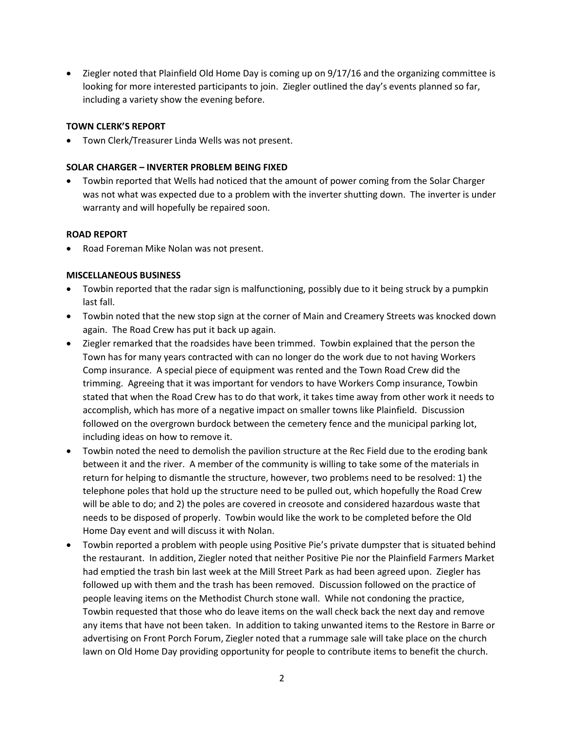Ziegler noted that Plainfield Old Home Day is coming up on 9/17/16 and the organizing committee is looking for more interested participants to join. Ziegler outlined the day's events planned so far, including a variety show the evening before.

## TOWN CLERK'S REPORT

Town Clerk/Treasurer Linda Wells was not present.

## SOLAR CHARGER – INVERTER PROBLEM BEING FIXED

 Towbin reported that Wells had noticed that the amount of power coming from the Solar Charger was not what was expected due to a problem with the inverter shutting down. The inverter is under warranty and will hopefully be repaired soon.

## ROAD REPORT

Road Foreman Mike Nolan was not present.

## MISCELLANEOUS BUSINESS

- Towbin reported that the radar sign is malfunctioning, possibly due to it being struck by a pumpkin last fall.
- Towbin noted that the new stop sign at the corner of Main and Creamery Streets was knocked down again. The Road Crew has put it back up again.
- Ziegler remarked that the roadsides have been trimmed. Towbin explained that the person the Town has for many years contracted with can no longer do the work due to not having Workers Comp insurance. A special piece of equipment was rented and the Town Road Crew did the trimming. Agreeing that it was important for vendors to have Workers Comp insurance, Towbin stated that when the Road Crew has to do that work, it takes time away from other work it needs to accomplish, which has more of a negative impact on smaller towns like Plainfield. Discussion followed on the overgrown burdock between the cemetery fence and the municipal parking lot, including ideas on how to remove it.
- Towbin noted the need to demolish the pavilion structure at the Rec Field due to the eroding bank between it and the river. A member of the community is willing to take some of the materials in return for helping to dismantle the structure, however, two problems need to be resolved: 1) the telephone poles that hold up the structure need to be pulled out, which hopefully the Road Crew will be able to do; and 2) the poles are covered in creosote and considered hazardous waste that needs to be disposed of properly. Towbin would like the work to be completed before the Old Home Day event and will discuss it with Nolan.
- Towbin reported a problem with people using Positive Pie's private dumpster that is situated behind the restaurant. In addition, Ziegler noted that neither Positive Pie nor the Plainfield Farmers Market had emptied the trash bin last week at the Mill Street Park as had been agreed upon. Ziegler has followed up with them and the trash has been removed. Discussion followed on the practice of people leaving items on the Methodist Church stone wall. While not condoning the practice, Towbin requested that those who do leave items on the wall check back the next day and remove any items that have not been taken. In addition to taking unwanted items to the Restore in Barre or advertising on Front Porch Forum, Ziegler noted that a rummage sale will take place on the church lawn on Old Home Day providing opportunity for people to contribute items to benefit the church.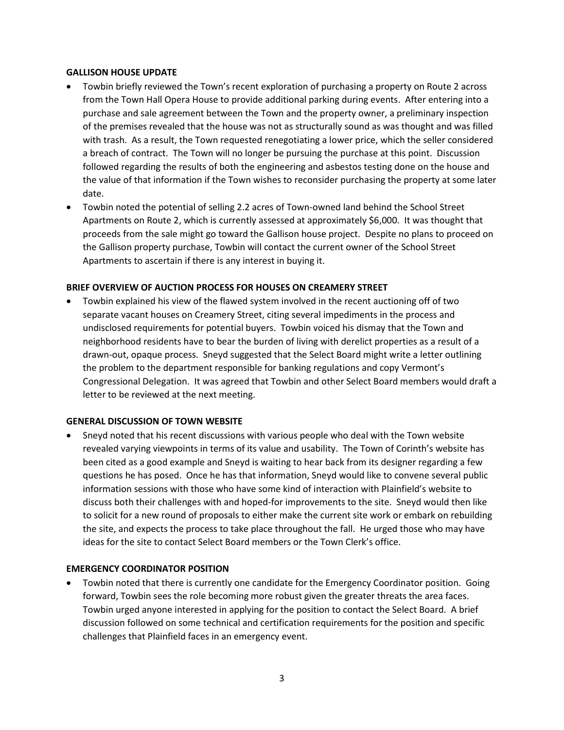#### GALLISON HOUSE UPDATE

- Towbin briefly reviewed the Town's recent exploration of purchasing a property on Route 2 across from the Town Hall Opera House to provide additional parking during events. After entering into a purchase and sale agreement between the Town and the property owner, a preliminary inspection of the premises revealed that the house was not as structurally sound as was thought and was filled with trash. As a result, the Town requested renegotiating a lower price, which the seller considered a breach of contract. The Town will no longer be pursuing the purchase at this point. Discussion followed regarding the results of both the engineering and asbestos testing done on the house and the value of that information if the Town wishes to reconsider purchasing the property at some later date.
- Towbin noted the potential of selling 2.2 acres of Town-owned land behind the School Street Apartments on Route 2, which is currently assessed at approximately \$6,000. It was thought that proceeds from the sale might go toward the Gallison house project. Despite no plans to proceed on the Gallison property purchase, Towbin will contact the current owner of the School Street Apartments to ascertain if there is any interest in buying it.

## BRIEF OVERVIEW OF AUCTION PROCESS FOR HOUSES ON CREAMERY STREET

 Towbin explained his view of the flawed system involved in the recent auctioning off of two separate vacant houses on Creamery Street, citing several impediments in the process and undisclosed requirements for potential buyers. Towbin voiced his dismay that the Town and neighborhood residents have to bear the burden of living with derelict properties as a result of a drawn-out, opaque process. Sneyd suggested that the Select Board might write a letter outlining the problem to the department responsible for banking regulations and copy Vermont's Congressional Delegation. It was agreed that Towbin and other Select Board members would draft a letter to be reviewed at the next meeting.

## GENERAL DISCUSSION OF TOWN WEBSITE

 Sneyd noted that his recent discussions with various people who deal with the Town website revealed varying viewpoints in terms of its value and usability. The Town of Corinth's website has been cited as a good example and Sneyd is waiting to hear back from its designer regarding a few questions he has posed. Once he has that information, Sneyd would like to convene several public information sessions with those who have some kind of interaction with Plainfield's website to discuss both their challenges with and hoped-for improvements to the site. Sneyd would then like to solicit for a new round of proposals to either make the current site work or embark on rebuilding the site, and expects the process to take place throughout the fall. He urged those who may have ideas for the site to contact Select Board members or the Town Clerk's office.

## EMERGENCY COORDINATOR POSITION

 Towbin noted that there is currently one candidate for the Emergency Coordinator position. Going forward, Towbin sees the role becoming more robust given the greater threats the area faces. Towbin urged anyone interested in applying for the position to contact the Select Board. A brief discussion followed on some technical and certification requirements for the position and specific challenges that Plainfield faces in an emergency event.